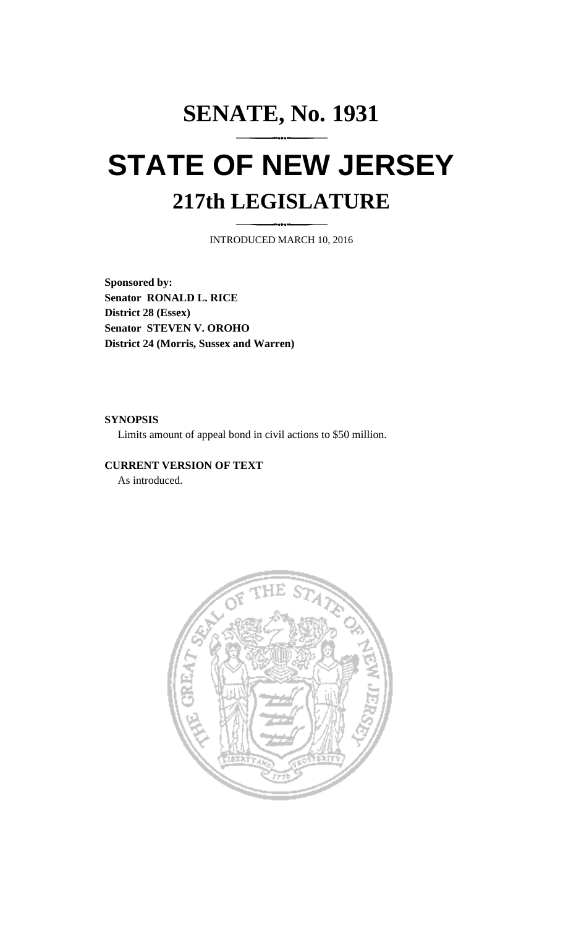## **SENATE, No. 1931 STATE OF NEW JERSEY 217th LEGISLATURE**

INTRODUCED MARCH 10, 2016

**Sponsored by: Senator RONALD L. RICE District 28 (Essex) Senator STEVEN V. OROHO District 24 (Morris, Sussex and Warren)**

## **SYNOPSIS**

Limits amount of appeal bond in civil actions to \$50 million.

## **CURRENT VERSION OF TEXT**

As introduced.

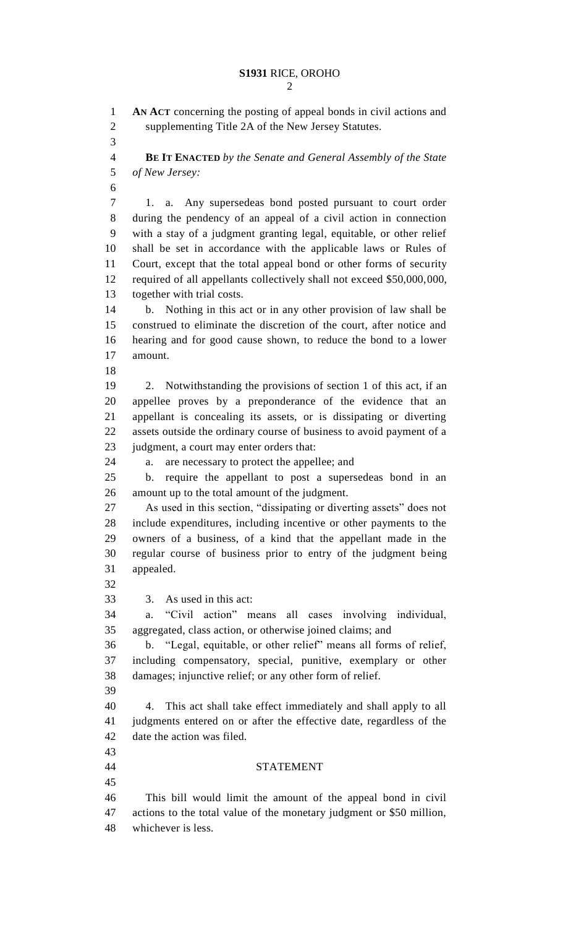**AN ACT** concerning the posting of appeal bonds in civil actions and supplementing Title 2A of the New Jersey Statutes. **BE IT ENACTED** *by the Senate and General Assembly of the State of New Jersey:* 1. a. Any supersedeas bond posted pursuant to court order during the pendency of an appeal of a civil action in connection with a stay of a judgment granting legal, equitable, or other relief shall be set in accordance with the applicable laws or Rules of Court, except that the total appeal bond or other forms of security 12 required of all appellants collectively shall not exceed \$50,000,000, together with trial costs. b. Nothing in this act or in any other provision of law shall be construed to eliminate the discretion of the court, after notice and hearing and for good cause shown, to reduce the bond to a lower amount. 2. Notwithstanding the provisions of section 1 of this act, if an appellee proves by a preponderance of the evidence that an appellant is concealing its assets, or is dissipating or diverting assets outside the ordinary course of business to avoid payment of a judgment, a court may enter orders that: a. are necessary to protect the appellee; and b. require the appellant to post a supersedeas bond in an amount up to the total amount of the judgment. As used in this section, "dissipating or diverting assets" does not include expenditures, including incentive or other payments to the owners of a business, of a kind that the appellant made in the regular course of business prior to entry of the judgment being appealed. 3. As used in this act: a. "Civil action" means all cases involving individual, aggregated, class action, or otherwise joined claims; and b. "Legal, equitable, or other relief" means all forms of relief, including compensatory, special, punitive, exemplary or other damages; injunctive relief; or any other form of relief. 4. This act shall take effect immediately and shall apply to all judgments entered on or after the effective date, regardless of the date the action was filed. STATEMENT This bill would limit the amount of the appeal bond in civil actions to the total value of the monetary judgment or \$50 million, whichever is less.